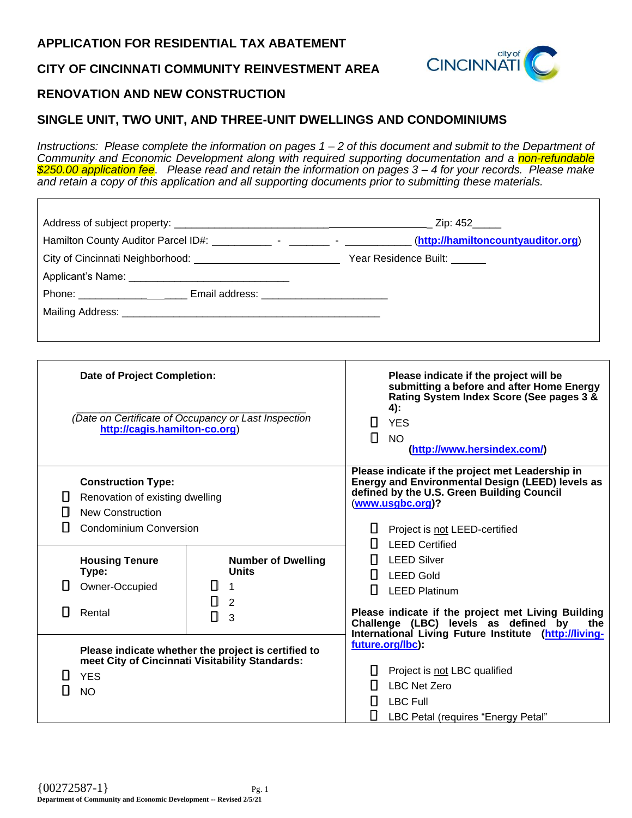#### **APPLICATION FOR RESIDENTIAL TAX ABATEMENT**

## **CITY OF CINCINNATI COMMUNITY REINVESTMENT AREA**

# **city** of **CINCINNATI**

### **RENOVATION AND NEW CONSTRUCTION**

## **SINGLE UNIT, TWO UNIT, AND THREE-UNIT DWELLINGS AND CONDOMINIUMS**

*Instructions: Please complete the information on pages 1 – 2 of this document and submit to the Department of Community and Economic Development along with required supporting documentation and a non-refundable \$250.00 application fee*. *Please read and retain the information on pages 3 – 4 for your records. Please make and retain a copy of this application and all supporting documents prior to submitting these materials.* 

|                                                      |                                                                                         | Phone: __________________________ Email address: _______________________________                       |                                                                                                                                                                                                              |  |  |  |  |  |  |
|------------------------------------------------------|-----------------------------------------------------------------------------------------|--------------------------------------------------------------------------------------------------------|--------------------------------------------------------------------------------------------------------------------------------------------------------------------------------------------------------------|--|--|--|--|--|--|
|                                                      |                                                                                         |                                                                                                        |                                                                                                                                                                                                              |  |  |  |  |  |  |
|                                                      |                                                                                         |                                                                                                        |                                                                                                                                                                                                              |  |  |  |  |  |  |
|                                                      |                                                                                         |                                                                                                        |                                                                                                                                                                                                              |  |  |  |  |  |  |
|                                                      |                                                                                         |                                                                                                        |                                                                                                                                                                                                              |  |  |  |  |  |  |
|                                                      | <b>Date of Project Completion:</b>                                                      |                                                                                                        | Please indicate if the project will be<br>submitting a before and after Home Energy<br>Rating System Index Score (See pages 3 &<br>$4)$ :                                                                    |  |  |  |  |  |  |
| (Date on Certificate of Occupancy or Last Inspection |                                                                                         |                                                                                                        | <b>YES</b>                                                                                                                                                                                                   |  |  |  |  |  |  |
| http://cagis.hamilton-co.org)                        |                                                                                         |                                                                                                        | П<br><b>NO</b>                                                                                                                                                                                               |  |  |  |  |  |  |
|                                                      |                                                                                         |                                                                                                        | (http://www.hersindex.com/)                                                                                                                                                                                  |  |  |  |  |  |  |
| Н.<br>Ħ                                              | <b>Construction Type:</b><br>Renovation of existing dwelling<br><b>New Construction</b> |                                                                                                        | Please indicate if the project met Leadership in<br>Energy and Environmental Design (LEED) levels as<br>defined by the U.S. Green Building Council<br>(www.usgbc.org)?<br>H<br>Project is not LEED-certified |  |  |  |  |  |  |
| ш                                                    | <b>Condominium Conversion</b>                                                           |                                                                                                        |                                                                                                                                                                                                              |  |  |  |  |  |  |
|                                                      |                                                                                         |                                                                                                        | <b>LEED Certified</b>                                                                                                                                                                                        |  |  |  |  |  |  |
|                                                      | <b>Housing Tenure</b><br>Type:                                                          | <b>Number of Dwelling</b><br><b>Units</b>                                                              | <b>LEED Silver</b>                                                                                                                                                                                           |  |  |  |  |  |  |
|                                                      | Owner-Occupied                                                                          | $11 \quad 1$                                                                                           | LEED Gold<br>H<br><b>LEED Platinum</b>                                                                                                                                                                       |  |  |  |  |  |  |
|                                                      |                                                                                         | Π.<br>2                                                                                                |                                                                                                                                                                                                              |  |  |  |  |  |  |
| Ш                                                    | Rental                                                                                  | П<br>3                                                                                                 | Please indicate if the project met Living Building<br>Challenge (LBC) levels as defined by<br>the                                                                                                            |  |  |  |  |  |  |
|                                                      | <b>YES</b><br><b>NO</b>                                                                 | Please indicate whether the project is certified to<br>meet City of Cincinnati Visitability Standards: | International Living Future Institute (http://living-<br>future.org/lbc):<br>Project is not LBC qualified<br><b>LBC Net Zero</b><br><b>LBC Full</b>                                                          |  |  |  |  |  |  |
|                                                      |                                                                                         |                                                                                                        | ◫<br>LBC Petal (requires "Energy Petal"                                                                                                                                                                      |  |  |  |  |  |  |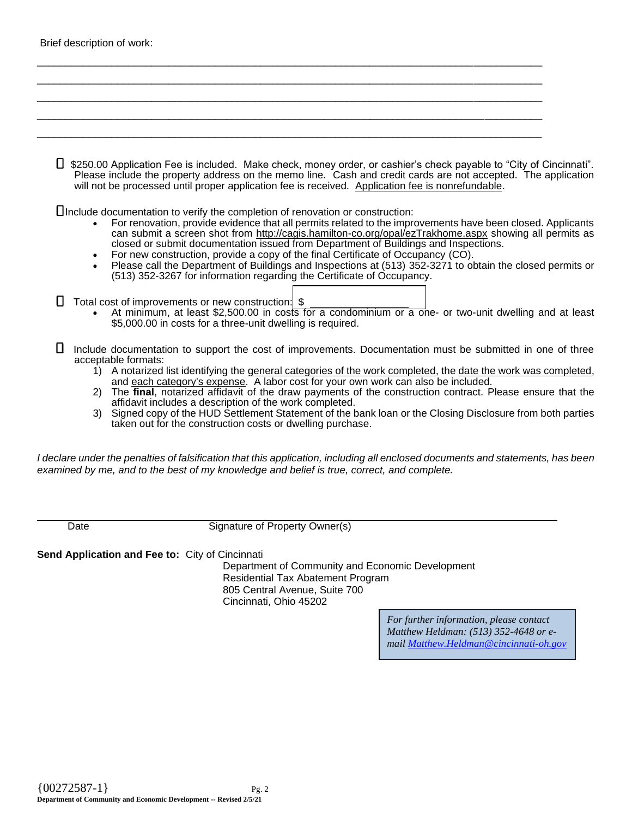| Brief description of work: |  |  |  |  |  |  |
|----------------------------|--|--|--|--|--|--|
|----------------------------|--|--|--|--|--|--|

|                | □ \$250.00 Application Fee is included. Make check, money order, or cashier's check payable to "City of Cincinnati".<br>Please include the property address on the memo line. Cash and credit cards are not accepted. The application<br>will not be processed until proper application fee is received. Application fee is nonrefundable.                                                                                                                                                                                                                                                                                                                                             |
|----------------|----------------------------------------------------------------------------------------------------------------------------------------------------------------------------------------------------------------------------------------------------------------------------------------------------------------------------------------------------------------------------------------------------------------------------------------------------------------------------------------------------------------------------------------------------------------------------------------------------------------------------------------------------------------------------------------|
|                | ∐Include documentation to verify the completion of renovation or construction:<br>For renovation, provide evidence that all permits related to the improvements have been closed. Applicants<br>can submit a screen shot from http://cagis.hamilton-co.org/opal/ezTrakhome.aspx showing all permits as<br>closed or submit documentation issued from Department of Buildings and Inspections.<br>For new construction, provide a copy of the final Certificate of Occupancy (CO).<br>Please call the Department of Buildings and Inspections at (513) 352-3271 to obtain the closed permits or<br>(513) 352-3267 for information regarding the Certificate of Occupancy.               |
|                | Total cost of improvements or new construction: \$<br>At minimum, at least \$2,500.00 in costs for a condominium or a one- or two-unit dwelling and at least<br>\$5,000.00 in costs for a three-unit dwelling is required.                                                                                                                                                                                                                                                                                                                                                                                                                                                             |
| 1)<br>2)<br>3) | Include documentation to support the cost of improvements. Documentation must be submitted in one of three<br>acceptable formats:<br>A notarized list identifying the general categories of the work completed, the date the work was completed,<br>and each category's expense. A labor cost for your own work can also be included.<br>The final, notarized affidavit of the draw payments of the construction contract. Please ensure that the<br>affidavit includes a description of the work completed.<br>Signed copy of the HUD Settlement Statement of the bank loan or the Closing Disclosure from both parties<br>taken out for the construction costs or dwelling purchase. |

\_\_\_\_\_\_\_\_\_\_\_\_\_\_\_\_\_\_\_\_\_\_\_\_\_\_\_\_\_\_\_\_\_\_\_\_\_\_\_\_\_\_\_\_\_\_\_\_\_\_\_\_\_\_\_\_\_\_\_\_\_\_\_\_\_\_\_\_\_\_\_\_\_\_\_\_\_\_\_\_\_\_\_\_\_\_\_\_

*I declare under the penalties of falsification that this application, including all enclosed documents and statements, has been examined by me, and to the best of my knowledge and belief is true, correct, and complete.*

Date Signature of Property Owner(s)

**Send Application and Fee to:** City of Cincinnati

Department of Community and Economic Development Residential Tax Abatement Program 805 Central Avenue, Suite 700 Cincinnati, Ohio 45202

> *For further information, please contact Matthew Heldman: (513) 352-4648 or email [Matthew.Heldman@cincinnati-oh.gov](mailto:Matthew.Heldman@cincinnati-oh.gov)*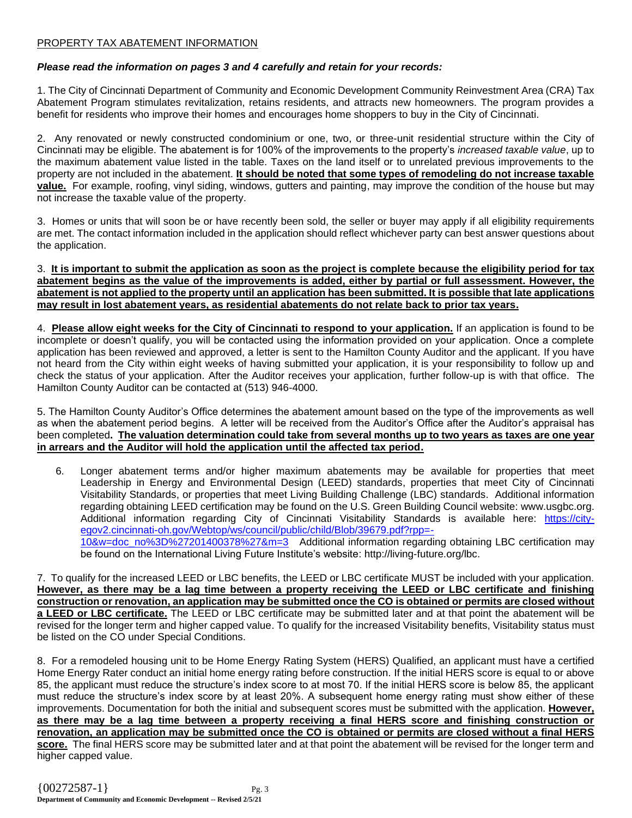#### PROPERTY TAX ABATEMENT INFORMATION

#### *Please read the information on pages 3 and 4 carefully and retain for your records:*

1. The City of Cincinnati Department of Community and Economic Development Community Reinvestment Area (CRA) Tax Abatement Program stimulates revitalization, retains residents, and attracts new homeowners. The program provides a benefit for residents who improve their homes and encourages home shoppers to buy in the City of Cincinnati.

2. Any renovated or newly constructed condominium or one, two, or three-unit residential structure within the City of Cincinnati may be eligible. The abatement is for 100% of the improvements to the property's *increased taxable value*, up to the maximum abatement value listed in the table. Taxes on the land itself or to unrelated previous improvements to the property are not included in the abatement. **It should be noted that some types of remodeling do not increase taxable value.** For example, roofing, vinyl siding, windows, gutters and painting, may improve the condition of the house but may not increase the taxable value of the property.

3. Homes or units that will soon be or have recently been sold, the seller or buyer may apply if all eligibility requirements are met. The contact information included in the application should reflect whichever party can best answer questions about the application.

3. **It is important to submit the application as soon as the project is complete because the eligibility period for tax abatement begins as the value of the improvements is added, either by partial or full assessment. However, the abatement is not applied to the property until an application has been submitted. It is possible that late applications may result in lost abatement years, as residential abatements do not relate back to prior tax years.**

4. **Please allow eight weeks for the City of Cincinnati to respond to your application.** If an application is found to be incomplete or doesn't qualify, you will be contacted using the information provided on your application. Once a complete application has been reviewed and approved, a letter is sent to the Hamilton County Auditor and the applicant. If you have not heard from the City within eight weeks of having submitted your application, it is your responsibility to follow up and check the status of your application. After the Auditor receives your application, further follow-up is with that office. The Hamilton County Auditor can be contacted at (513) 946-4000.

5. The Hamilton County Auditor's Office determines the abatement amount based on the type of the improvements as well as when the abatement period begins. A letter will be received from the Auditor's Office after the Auditor's appraisal has been completed**. The valuation determination could take from several months up to two years as taxes are one year in arrears and the Auditor will hold the application until the affected tax period.**

6. Longer abatement terms and/or higher maximum abatements may be available for properties that meet Leadership in Energy and Environmental Design (LEED) standards, properties that meet City of Cincinnati Visitability Standards, or properties that meet Living Building Challenge (LBC) standards. Additional information regarding obtaining LEED certification may be found on the U.S. Green Building Council website: [www.usgbc.org.](http://www.usgbc.org/) Additional information regarding City of Cincinnati Visitability Standards is available here: [https://city](https://city-egov2.cincinnati-oh.gov/Webtop/ws/council/public/child/Blob/39679.pdf?rpp=-10&w=doc_no%3D%27201400378%27&m=3)[egov2.cincinnati-oh.gov/Webtop/ws/council/public/child/Blob/39679.pdf?rpp=-](https://city-egov2.cincinnati-oh.gov/Webtop/ws/council/public/child/Blob/39679.pdf?rpp=-10&w=doc_no%3D%27201400378%27&m=3) [10&w=doc\\_no%3D%27201400378%27&m=3](https://city-egov2.cincinnati-oh.gov/Webtop/ws/council/public/child/Blob/39679.pdf?rpp=-10&w=doc_no%3D%27201400378%27&m=3) Additional information regarding obtaining LBC certification may be found on the International Living Future Institute's website: [http://living-future.org/lbc.](http://living-future.org/lbc)

7. To qualify for the increased LEED or LBC benefits, the LEED or LBC certificate MUST be included with your application. **However, as there may be a lag time between a property receiving the LEED or LBC certificate and finishing construction or renovation, an application may be submitted once the CO is obtained or permits are closed without a LEED or LBC certificate.** The LEED or LBC certificate may be submitted later and at that point the abatement will be revised for the longer term and higher capped value. To qualify for the increased Visitability benefits, Visitability status must be listed on the CO under Special Conditions.

8. For a remodeled housing unit to be Home Energy Rating System (HERS) Qualified, an applicant must have a certified Home Energy Rater conduct an initial home energy rating before construction. If the initial HERS score is equal to or above 85, the applicant must reduce the structure's index score to at most 70. If the initial HERS score is below 85, the applicant must reduce the structure's index score by at least 20%. A subsequent home energy rating must show either of these improvements. Documentation for both the initial and subsequent scores must be submitted with the application. **However, as there may be a lag time between a property receiving a final HERS score and finishing construction or renovation, an application may be submitted once the CO is obtained or permits are closed without a final HERS score.** The final HERS score may be submitted later and at that point the abatement will be revised for the longer term and higher capped value.